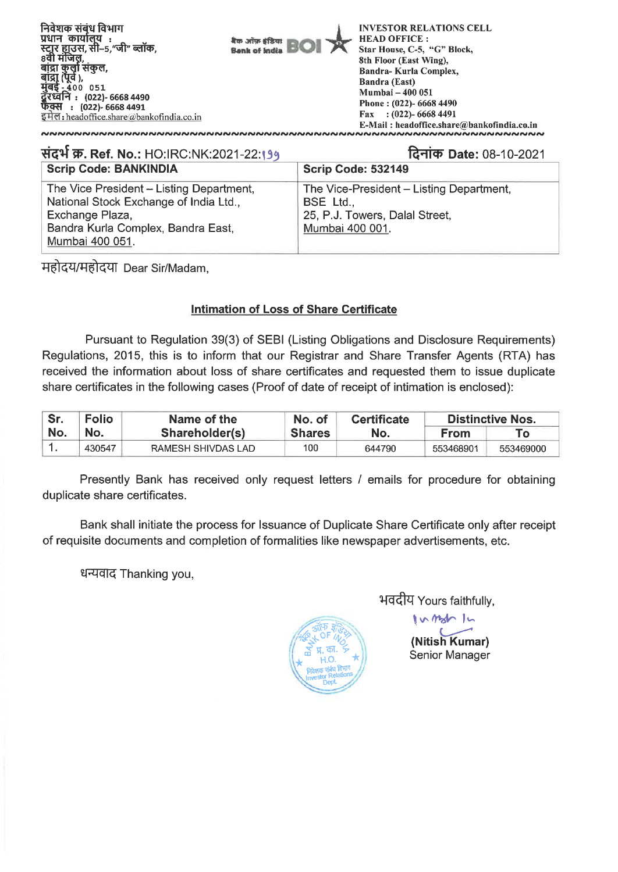

# **A-pi W. Ref. No.:** HO:IRC:NK:2021-22:1" **faiiich Date:** 08-10-2021 **Scrip Code: BANKINDIA** The Vice President - Listing Department, The Vice-President - Listing Department, National Stock Exchange of India Ltd., **BSE Ltd.**, Exchange Plaza, 25, P.J. Towers, Dalal Street, Bandra Kurla Complex, Bandra East, Mumbai 400 001.

महोदय/महोदया Dear Sir/Madam,

Mumbai 400 051.

## **Intimation of Loss of Share Certificate**

Pursuant to Regulation 39(3) of SEBI (Listing Obligations and Disclosure Requirements) Regulations, 2015, this is to inform that our Registrar and Share Transfer Agents (RTA) has received the information about loss of share certificates and requested them to issue duplicate share certificates in the following cases (Proof of date of receipt of intimation is enclosed):

| Sr. | <b>Folio</b><br>No. | Name of the<br>Shareholder(s) | No. of<br><b>Shares</b> | <b>Certificate</b> | <b>Distinctive Nos.</b> |           |  |
|-----|---------------------|-------------------------------|-------------------------|--------------------|-------------------------|-----------|--|
| No. |                     |                               |                         | No.                | From                    | Γо        |  |
|     | 430547              | RAMESH SHIVDAS LAD            | 100                     | 644790             | 553468901               | 553469000 |  |

Presently Bank has received only request letters / emails for procedure for obtaining duplicate share certificates.

Bank shall initiate the process for Issuance of Duplicate Share Certificate only after receipt of requisite documents and completion of formalities like newspaper advertisements, etc.

धन्यवाद Thanking you,



भवदीय Yours faithfully,

**(Nitish Kumar)**  Senior Manager

htztV *Jt*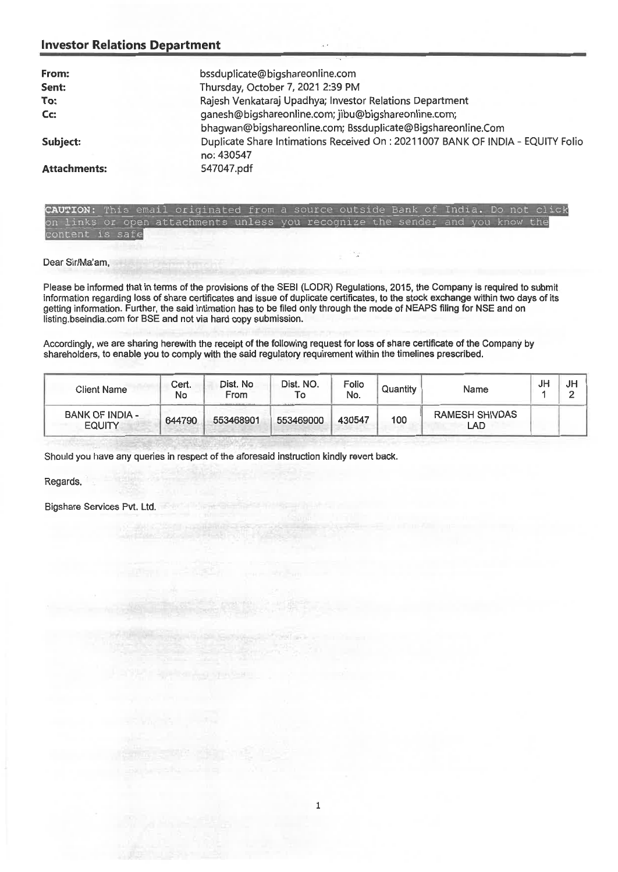#### **Investor Relations Department**

| From:               | bssduplicate@bigshareonline.com                                                 |
|---------------------|---------------------------------------------------------------------------------|
| Sent:               | Thursday, October 7, 2021 2:39 PM                                               |
| To:                 | Rajesh Venkataraj Upadhya; Investor Relations Department                        |
| Cc:                 | ganesh@bigshareonline.com; jibu@bigshareonline.com;                             |
|                     | bhagwan@bigshareonline.com; Bssduplicate@Bigshareonline.Com                     |
| Subject:            | Duplicate Share Intimations Received On : 20211007 BANK OF INDIA - EQUITY Folio |
|                     | no: 430547                                                                      |
| <b>Attachments:</b> | 547047.pdf                                                                      |

**CAUTION:** This email originated from a source outside Bank of India. Do on links or open attachments unless you recognize the sender and you know content is safe

Dear Sir/Ma'am,

Please be informed that in terms of the provisions of the SEBI (LODR) Regulations, 2015, the Company is required to submit information regarding loss of share certificates **and** issue of duplicate certificates, to the stock exchange within two days of its getting information. Further, the said intimation has to be filed only through the mode of NEAPS filing for NSE and on listing.bseindia.com for BSE and not via hard copy submission.

Accordingly, we are sharing herewith the receipt of the following request for loss of share certificate of the Company by shareholders, to enable you to comply with the said regulatory requirement within the timelines prescribed.

| <b>Client Name</b>               | Cert.<br>No | Dist. No<br>From | Dist. NO.<br>10 | Folio<br>No. | Quantity | Name                         | JH | JH<br>_ |
|----------------------------------|-------------|------------------|-----------------|--------------|----------|------------------------------|----|---------|
| BANK OF INDIA -<br><b>EQUITY</b> | 644790      | 553468901        | 553469000       | 430547       | 100      | <b>RAMESH SHIVDAS</b><br>LAD |    |         |

Should you have any queries in respect of the aforesaid instruction kindly revert back.

Regards,

Bigshare Services Pvt. Ltd.